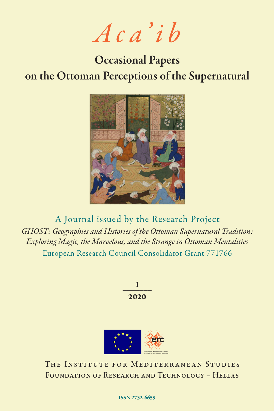*Aca'ib*

# Occasional Papers on the Ottoman Perceptions of the Supernatural



A Journal issued by the Research Project *GHOST: Geographies and Histories of the Ottoman Supernatural Tradition: Exploring Magic, the Marvelous, and the Strange in Ottoman Mentalities* European Research Council Consolidator Grant 771766

> $\mathbf{1}$ 2020



The Institute for Mediterranean Studies FOUNDATION OF RESEARCH AND TECHNOLOGY - HELLAS

#### ISSN 2732-6659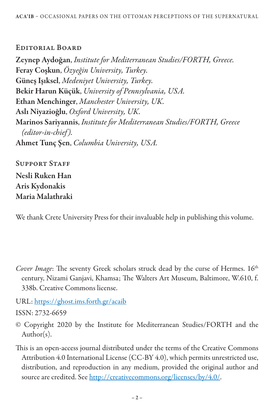### EDITORIAL BOARD

Zeynep Aydoğan, *Institute for Mediterranean Studies/FORTH, Greece.* Feray Coşkun, *Özyeğin University, Turkey.* Güneş Işıksel, *Medeniyet University, Turkey.* Bekir Harun Küçük, *University of Pennsylvania, USA.*  Ethan Menchinger, *Manchester University, UK.* Aslı Niyazioğlu, *Oxford University, UK.* Marinos Sariyannis, *Institute for Mediterranean Studies/FORTH, Greece (editor-in-chief ).* Ahmet Tunç Şen, *Columbia University, USA.*

SUPPORT STAFF Nesli Ruken Han Aris Kydonakis Maria Malathraki

We thank Crete University Press for their invaluable help in publishing this volume.

- *Cover Image*: The seventy Greek scholars struck dead by the curse of Hermes. 16<sup>th</sup> century, Nizami Ganjavi, Khamsa; The Walters Art Museum, Baltimore, W.610, f. 338b. Creative Commons license.
- URL: https://ghost.ims.forth.gr/acaib

ISSN: 2732-6659

- © Copyright 2020 by the Institute for Mediterranean Studies/FORTH and the Author(s).
- This is an open-access journal distributed under the terms of the Creative Commons Attribution 4.0 International License (CC-BY 4.0), which permits unrestricted use, distribution, and reproduction in any medium, provided the original author and source are credited. See http://creativecommons.org/licenses/by/4.0/.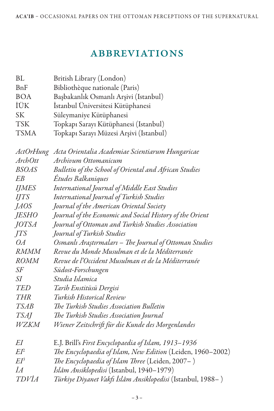### **ABBREVIATIONS**

| BL             | British Library (London)                                     |
|----------------|--------------------------------------------------------------|
| BnF            | Bibliothèque nationale (Paris)                               |
| <b>BOA</b>     | Başbakanlık Osmanlı Arşivi (Istanbul)                        |
| İÜK            | İstanbul Üniversitesi Kütüphanesi                            |
| <b>SK</b>      | Süleymaniye Kütüphanesi                                      |
| <b>TSK</b>     | Topkapı Sarayı Kütüphanesi (Istanbul)                        |
| <b>TSMA</b>    | Topkapı Sarayı Müzesi Arşivi (Istanbul)                      |
|                | ActOrHung Acta Orientalia Academiae Scientiarum Hungaricae   |
| <b>ArchOtt</b> | Archivum Ottomanicum                                         |
| <b>BSOAS</b>   | Bulletin of the School of Oriental and African Studies       |
| EΒ             | Études Balkaniques                                           |
| <b>IJMES</b>   | International Journal of Middle East Studies                 |
| <b>IJTS</b>    | International Journal of Turkish Studies                     |
| <i>JAOS</i>    | Journal of the American Oriental Society                     |
| <i>JESHO</i>   | Journal of the Economic and Social History of the Orient     |
| JOTSA          | Journal of Ottoman and Turkish Studies Association           |
| JTS            | Journal of Turkish Studies                                   |
| OA             | Osmanlı Araştırmaları – The Journal of Ottoman Studies       |
| <b>RMMM</b>    | Revue du Monde Musulman et de la Méditerranée                |
| <i>ROMM</i>    | Revue de l'Occident Musulman et de la Méditerranée           |
| SF             | Südost-Forschungen                                           |
| SΙ             | Studia Islamica                                              |
| TED            | Tarih Enstitüsü Dergisi                                      |
| <b>THR</b>     | Turkish Historical Review                                    |
| <i>TSAB</i>    | The Turkish Studies Association Bulletin                     |
| <b>TSAJ</b>    | The Turkish Studies Association Journal                      |
| <i>WZKM</i>    | Wiener Zeitschrift für die Kunde des Morgenlandes            |
| EI             | E.J. Brill's First Encyclopaedia of Islam, 1913–1936         |
| $E I^2$        | The Encyclopaedia of Islam, New Edition (Leiden, 1960-2002)  |
| E P            | The Encyclopaedia of Islam Three (Leiden, 2007-)             |
| İА             | <i>İslâm Ansiklopedisi</i> (Istanbul, 1940–1979)             |
| TDVÍA          | Türkiye Diyanet Vakfı İslâm Ansiklopedisi (Istanbul, 1988– ) |